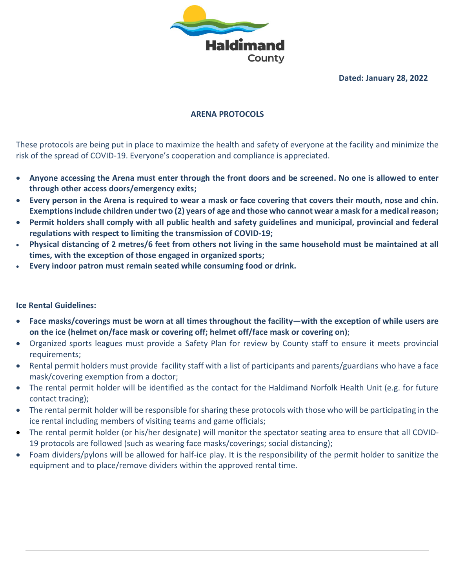

### **ARENA PROTOCOLS**

These protocols are being put in place to maximize the health and safety of everyone at the facility and minimize the risk of the spread of COVID-19. Everyone's cooperation and compliance is appreciated.

- **Anyone accessing the Arena must enter through the front doors and be screened. No one is allowed to enter through other access doors/emergency exits;**
- **Every person in the Arena is required to wear a mask or face covering that covers their mouth, nose and chin. Exemptions include children under two (2) years of age and those who cannot wear a mask for a medical reason;**
- **Permit holders shall comply with all public health and safety guidelines and municipal, provincial and federal regulations with respect to limiting the transmission of COVID-19;**
- **Physical distancing of 2 metres/6 feet from others not living in the same household must be maintained at all times, with the exception of those engaged in organized sports;**
- **Every indoor patron must remain seated while consuming food or drink.**

#### **Ice Rental Guidelines:**

- **Face masks/coverings must be worn at all times throughout the facility—with the exception of while users are on the ice (helmet on/face mask or covering off; helmet off/face mask or covering on)**;
- Organized sports leagues must provide a Safety Plan for review by County staff to ensure it meets provincial requirements;
- Rental permit holders must provide facility staff with a list of participants and parents/guardians who have a face mask/covering exemption from a doctor;
- The rental permit holder will be identified as the contact for the Haldimand Norfolk Health Unit (e.g. for future contact tracing);
- The rental permit holder will be responsible for sharing these protocols with those who will be participating in the ice rental including members of visiting teams and game officials;
- The rental permit holder (or his/her designate) will monitor the spectator seating area to ensure that all COVID-19 protocols are followed (such as wearing face masks/coverings; social distancing);
- Foam dividers/pylons will be allowed for half-ice play. It is the responsibility of the permit holder to sanitize the equipment and to place/remove dividers within the approved rental time.